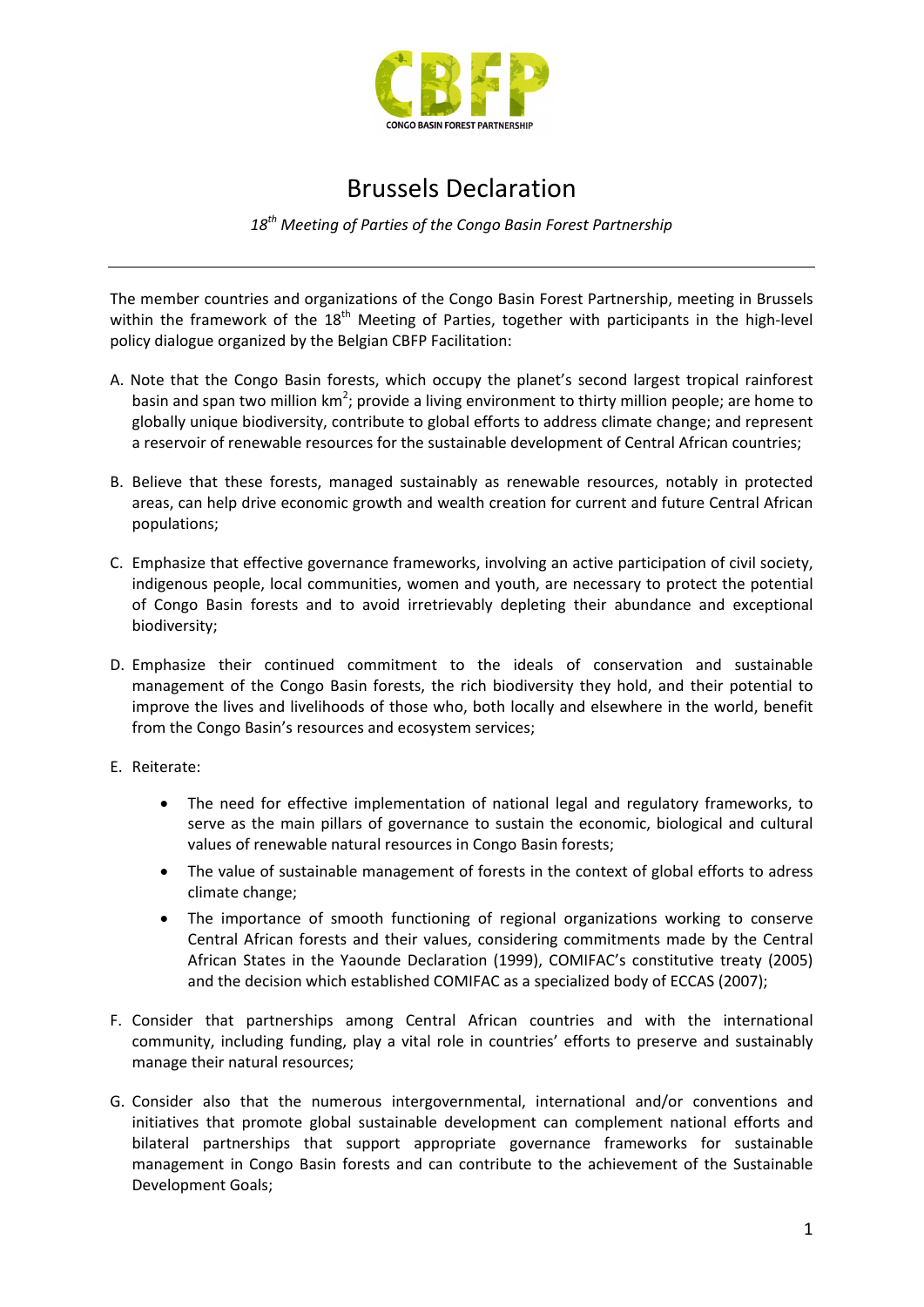

## Brussels Declaration

*18th Meeting of Parties of the Congo Basin Forest Partnership*

The member countries and organizations of the Congo Basin Forest Partnership, meeting in Brussels within the framework of the 18<sup>th</sup> Meeting of Parties, together with participants in the high-level policy dialogue organized by the Belgian CBFP Facilitation:

- A. Note that the Congo Basin forests, which occupy the planet's second largest tropical rainforest basin and span two million  $km^2$ ; provide a living environment to thirty million people; are home to globally unique biodiversity, contribute to global efforts to address climate change; and represent a reservoir of renewable resources for the sustainable development of Central African countries;
- B. Believe that these forests, managed sustainably as renewable resources, notably in protected areas, can help drive economic growth and wealth creation for current and future Central African populations;
- C. Emphasize that effective governance frameworks, involving an active participation of civil society, indigenous people, local communities, women and youth, are necessary to protect the potential of Congo Basin forests and to avoid irretrievably depleting their abundance and exceptional biodiversity;
- D. Emphasize their continued commitment to the ideals of conservation and sustainable management of the Congo Basin forests, the rich biodiversity they hold, and their potential to improve the lives and livelihoods of those who, both locally and elsewhere in the world, benefit from the Congo Basin's resources and ecosystem services;
- E. Reiterate:
	- The need for effective implementation of national legal and regulatory frameworks, to serve as the main pillars of governance to sustain the economic, biological and cultural values of renewable natural resources in Congo Basin forests;
	- The value of sustainable management of forests in the context of global efforts to adress climate change;
	- The importance of smooth functioning of regional organizations working to conserve Central African forests and their values, considering commitments made by the Central African States in the Yaounde Declaration (1999), COMIFAC's constitutive treaty (2005) and the decision which established COMIFAC as a specialized body of ECCAS (2007);
- F. Consider that partnerships among Central African countries and with the international community, including funding, play a vital role in countries' efforts to preserve and sustainably manage their natural resources;
- G. Consider also that the numerous intergovernmental, international and/or conventions and initiatives that promote global sustainable development can complement national efforts and bilateral partnerships that support appropriate governance frameworks for sustainable management in Congo Basin forests and can contribute to the achievement of the Sustainable Development Goals;